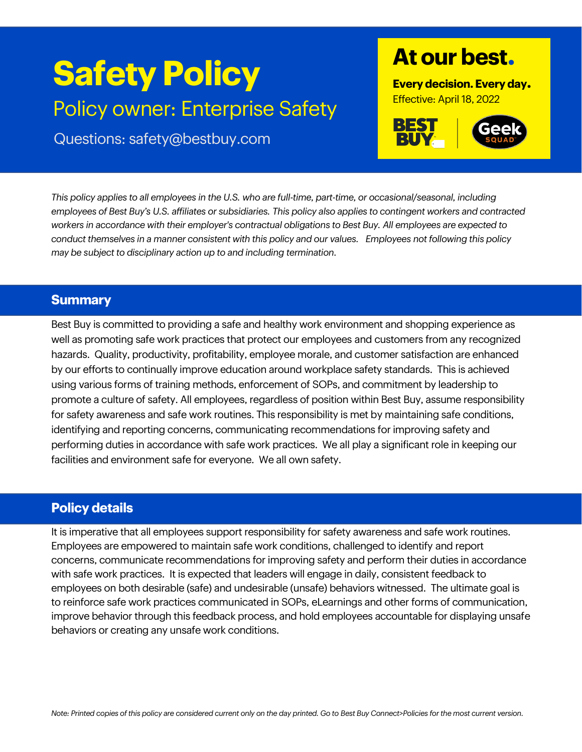# **Safety Policy** Policy owner: Enterprise Safety

Questions: safety@bestbuy.com

# **At our best.**

**Every decision. Every day.** Effective: April 18, 2022



*This policy applies to all employees in the U.S. who are full-time, part-time, or occasional/seasonal, including employees of Best Buy's U.S. affiliates or subsidiaries. This policy also applies to contingent workers and contracted workers in accordance with their employer's contractual obligations to Best Buy. All employees are expected to conduct themselves in a manner consistent with this policy and our values. Employees not following this policy may be subject to disciplinary action up to and including termination.*

## **Summary**

Best Buy is committed to providing a safe and healthy work environment and shopping experience as well as promoting safe work practices that protect our employees and customers from any recognized hazards. Quality, productivity, profitability, employee morale, and customer satisfaction are enhanced by our efforts to continually improve education around workplace safety standards. This is achieved using various forms of training methods, enforcement of SOPs, and commitment by leadership to promote a culture of safety. All employees, regardless of position within Best Buy, assume responsibility for safety awareness and safe work routines. This responsibility is met by maintaining safe conditions, identifying and reporting concerns, communicating recommendations for improving safety and performing duties in accordance with safe work practices. We all play a significant role in keeping our facilities and environment safe for everyone. We all own safety.

# **Policy details**

It is imperative that all employees support responsibility for safety awareness and safe work routines. Employees are empowered to maintain safe work conditions, challenged to identify and report concerns, communicate recommendations for improving safety and perform their duties in accordance with safe work practices. It is expected that leaders will engage in daily, consistent feedback to employees on both desirable (safe) and undesirable (unsafe) behaviors witnessed. The ultimate goal is to reinforce safe work practices communicated in SOPs, eLearnings and other forms of communication, improve behavior through this feedback process, and hold employees accountable for displaying unsafe behaviors or creating any unsafe work conditions.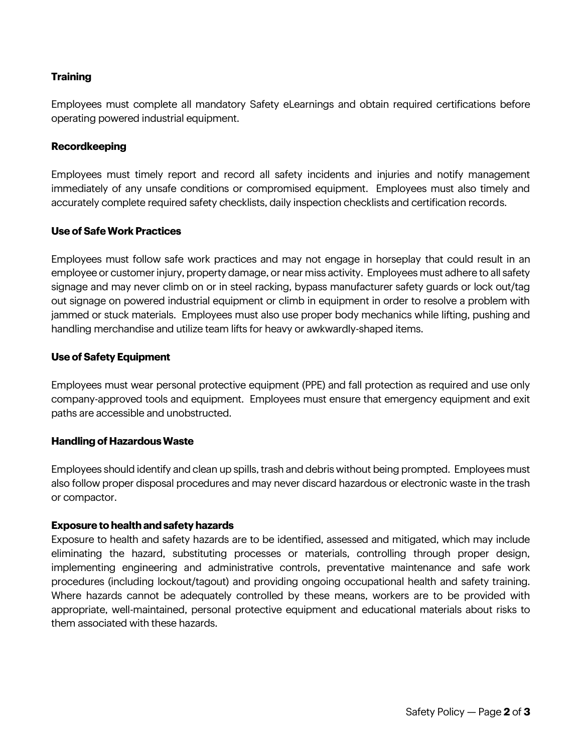#### **Training**

Employees must complete all mandatory Safety eLearnings and obtain required certifications before operating powered industrial equipment.

#### **Recordkeeping**

Employees must timely report and record all safety incidents and injuries and notify management immediately of any unsafe conditions or compromised equipment. Employees must also timely and accurately complete required safety checklists, daily inspection checklists and certification records.

#### **Use of Safe Work Practices**

Employees must follow safe work practices and may not engage in horseplay that could result in an employee or customer injury, property damage, or near miss activity. Employees must adhere to all safety signage and may never climb on or in steel racking, bypass manufacturer safety guards or lock out/tag out signage on powered industrial equipment or climb in equipment in order to resolve a problem with jammed or stuck materials. Employees must also use proper body mechanics while lifting, pushing and handling merchandise and utilize team lifts for heavy or awkwardly-shaped items.

#### **Use of Safety Equipment**

Employees must wear personal protective equipment (PPE) and fall protection as required and use only company-approved tools and equipment. Employees must ensure that emergency equipment and exit paths are accessible and unobstructed.

#### **Handling of Hazardous Waste**

Employees should identify and clean up spills, trash and debris without being prompted. Employees must also follow proper disposal procedures and may never discard hazardous or electronic waste in the trash or compactor.

#### **Exposure to health and safety hazards**

Exposure to health and safety hazards are to be identified, assessed and mitigated, which may include eliminating the hazard, substituting processes or materials, controlling through proper design, implementing engineering and administrative controls, preventative maintenance and safe work procedures (including lockout/tagout) and providing ongoing occupational health and safety training. Where hazards cannot be adequately controlled by these means, workers are to be provided with appropriate, well-maintained, personal protective equipment and educational materials about risks to them associated with these hazards.